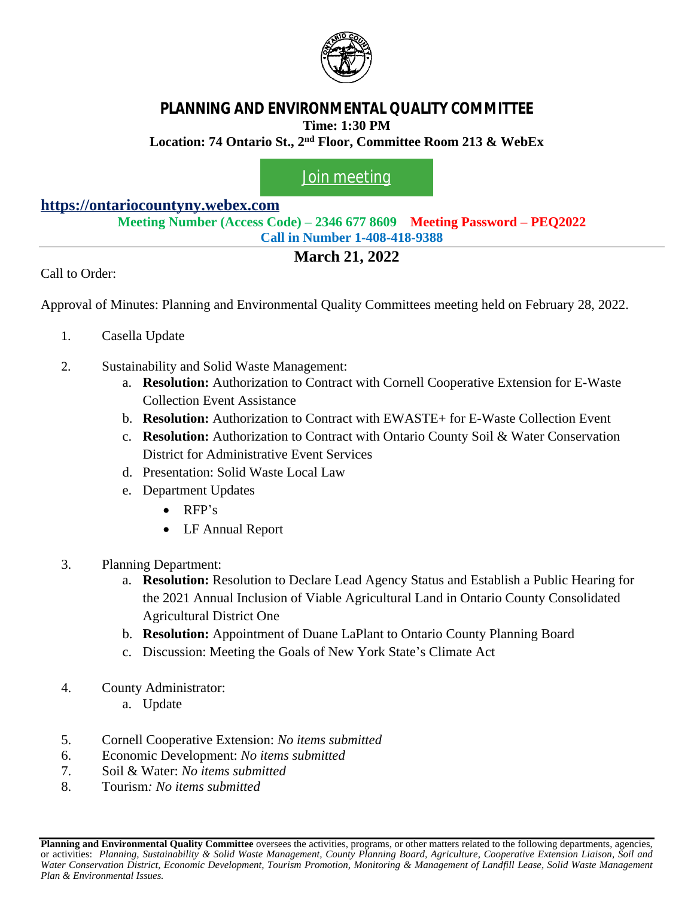

## **PLANNING AND ENVIRONMENTAL QUALITY COMMITTEE Time: 1:30 PM**

**Location: 74 Ontario St., 2nd Floor, Committee Room 213 & WebEx**

## [Join meeting](https://ontariocountyny.webex.com/)

## **<https://ontariocountyny.webex.com>**

**Meeting Number (Access Code) – 2346 677 8609 Meeting Password – PEQ2022 Call in Number 1-408-418-9388**

## **March 21, 2022**

Call to Order:

Approval of Minutes: Planning and Environmental Quality Committees meeting held on February 28, 2022.

- 1. Casella Update
- 2. Sustainability and Solid Waste Management:
	- a. **Resolution:** Authorization to Contract with Cornell Cooperative Extension for E-Waste Collection Event Assistance
	- b. **Resolution:** Authorization to Contract with EWASTE+ for E-Waste Collection Event
	- c. **Resolution:** Authorization to Contract with Ontario County Soil & Water Conservation District for Administrative Event Services
	- d. Presentation: Solid Waste Local Law
	- e. Department Updates
		- RFP's
		- LF Annual Report
- 3. Planning Department:
	- a. **Resolution:** Resolution to Declare Lead Agency Status and Establish a Public Hearing for the 2021 Annual Inclusion of Viable Agricultural Land in Ontario County Consolidated Agricultural District One
	- b. **Resolution:** Appointment of Duane LaPlant to Ontario County Planning Board
	- c. Discussion: Meeting the Goals of New York State's Climate Act
- 4. County Administrator:
	- a. Update
- 5. Cornell Cooperative Extension: *No items submitted*
- 6. Economic Development: *No items submitted*
- 7. Soil & Water: *No items submitted*
- 8. Tourism*: No items submitted*